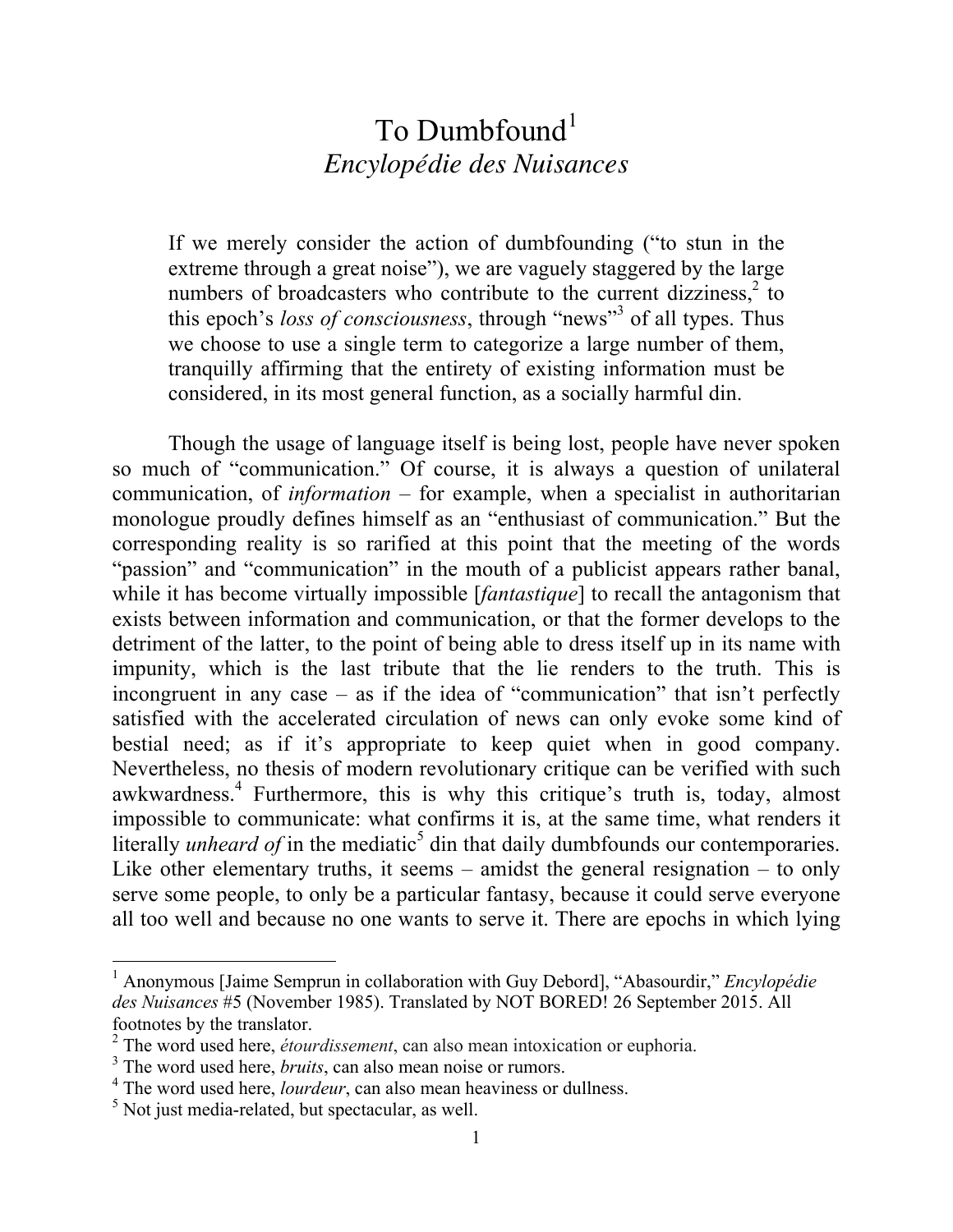## To Dumbfound<sup>1</sup> *Encylopédie des Nuisances*

If we merely consider the action of dumbfounding ("to stun in the extreme through a great noise"), we are vaguely staggered by the large numbers of broadcasters who contribute to the current dizziness, $2$  to this epoch's *loss of consciousness*, through "news"<sup>3</sup> of all types. Thus we choose to use a single term to categorize a large number of them, tranquilly affirming that the entirety of existing information must be considered, in its most general function, as a socially harmful din.

Though the usage of language itself is being lost, people have never spoken so much of "communication." Of course, it is always a question of unilateral communication, of *information* – for example, when a specialist in authoritarian monologue proudly defines himself as an "enthusiast of communication." But the corresponding reality is so rarified at this point that the meeting of the words "passion" and "communication" in the mouth of a publicist appears rather banal, while it has become virtually impossible [*fantastique*] to recall the antagonism that exists between information and communication, or that the former develops to the detriment of the latter, to the point of being able to dress itself up in its name with impunity, which is the last tribute that the lie renders to the truth. This is incongruent in any case – as if the idea of "communication" that isn't perfectly satisfied with the accelerated circulation of news can only evoke some kind of bestial need; as if it's appropriate to keep quiet when in good company. Nevertheless, no thesis of modern revolutionary critique can be verified with such awkwardness.<sup>4</sup> Furthermore, this is why this critique's truth is, today, almost impossible to communicate: what confirms it is, at the same time, what renders it literally *unheard of* in the mediatic<sup>5</sup> din that daily dumbfounds our contemporaries. Like other elementary truths, it seems – amidst the general resignation – to only serve some people, to only be a particular fantasy, because it could serve everyone all too well and because no one wants to serve it. There are epochs in which lying

 <sup>1</sup> Anonymous [Jaime Semprun in collaboration with Guy Debord], "Abasourdir," *Encylopédie des Nuisances* #5 (November 1985). Translated by NOT BORED! 26 September 2015. All footnotes by the translator.

<sup>&</sup>lt;sup>2</sup> The word used here, *étourdissement*, can also mean intoxication or euphoria.

<sup>&</sup>lt;sup>3</sup> The word used here, *bruits*, can also mean noise or rumors.

<sup>&</sup>lt;sup>4</sup> The word used here, *lourdeur*, can also mean heaviness or dullness.

<sup>&</sup>lt;sup>5</sup> Not just media-related, but spectacular, as well.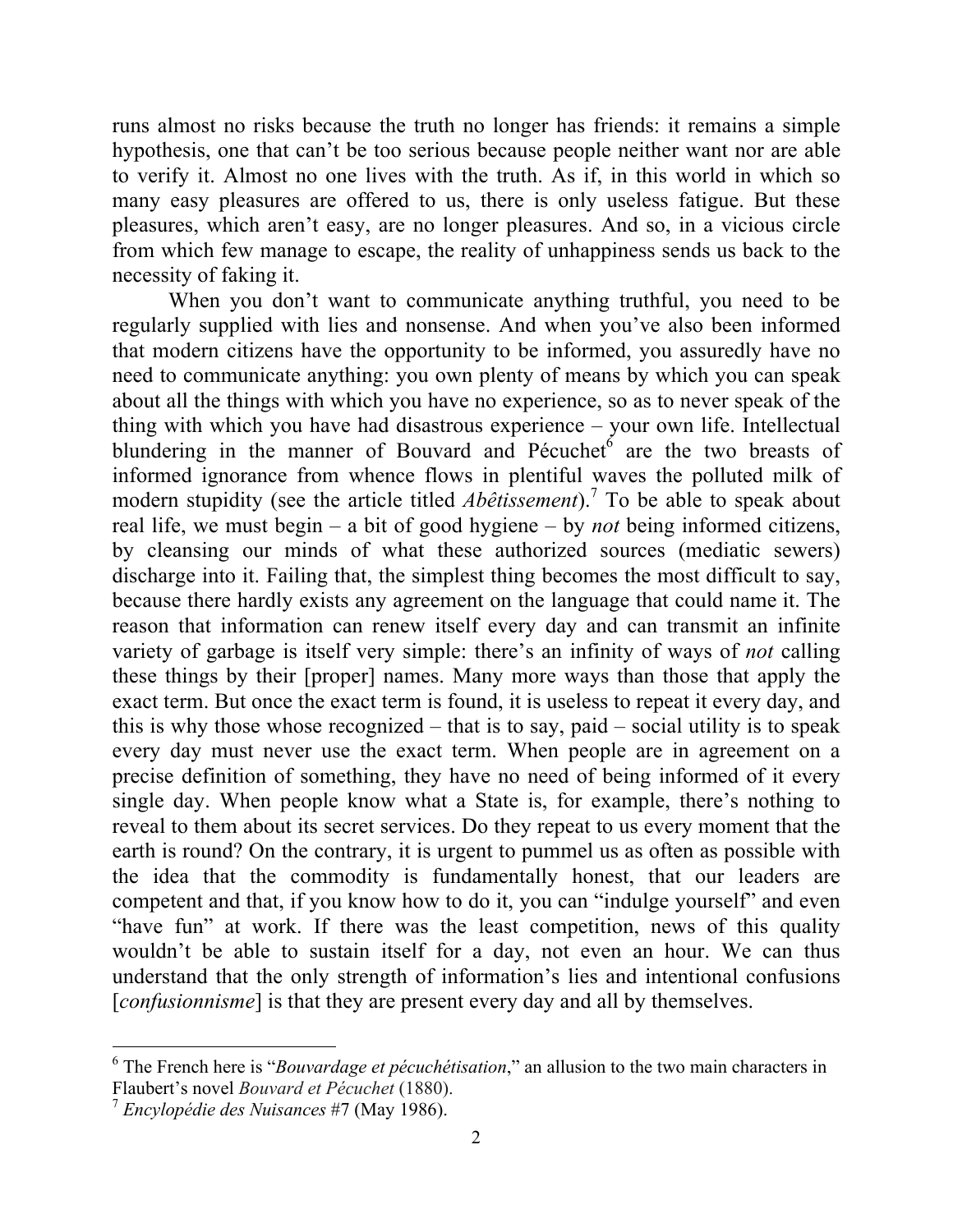runs almost no risks because the truth no longer has friends: it remains a simple hypothesis, one that can't be too serious because people neither want nor are able to verify it. Almost no one lives with the truth. As if, in this world in which so many easy pleasures are offered to us, there is only useless fatigue. But these pleasures, which aren't easy, are no longer pleasures. And so, in a vicious circle from which few manage to escape, the reality of unhappiness sends us back to the necessity of faking it.

When you don't want to communicate anything truthful, you need to be regularly supplied with lies and nonsense. And when you've also been informed that modern citizens have the opportunity to be informed, you assuredly have no need to communicate anything: you own plenty of means by which you can speak about all the things with which you have no experience, so as to never speak of the thing with which you have had disastrous experience – your own life. Intellectual blundering in the manner of Bouvard and Pécuchet $\delta$  are the two breasts of informed ignorance from whence flows in plentiful waves the polluted milk of modern stupidity (see the article titled *Abêtissement*).<sup>7</sup> To be able to speak about real life, we must begin – a bit of good hygiene – by *not* being informed citizens, by cleansing our minds of what these authorized sources (mediatic sewers) discharge into it. Failing that, the simplest thing becomes the most difficult to say, because there hardly exists any agreement on the language that could name it. The reason that information can renew itself every day and can transmit an infinite variety of garbage is itself very simple: there's an infinity of ways of *not* calling these things by their [proper] names. Many more ways than those that apply the exact term. But once the exact term is found, it is useless to repeat it every day, and this is why those whose recognized – that is to say, paid – social utility is to speak every day must never use the exact term. When people are in agreement on a precise definition of something, they have no need of being informed of it every single day. When people know what a State is, for example, there's nothing to reveal to them about its secret services. Do they repeat to us every moment that the earth is round? On the contrary, it is urgent to pummel us as often as possible with the idea that the commodity is fundamentally honest, that our leaders are competent and that, if you know how to do it, you can "indulge yourself" and even "have fun" at work. If there was the least competition, news of this quality wouldn't be able to sustain itself for a day, not even an hour. We can thus understand that the only strength of information's lies and intentional confusions [*confusionnisme*] is that they are present every day and all by themselves.

 <sup>6</sup> The French here is "*Bouvardage et pécuchétisation*," an allusion to the two main characters in Flaubert's novel *Bouvard et Pécuchet* (1880).

<sup>7</sup> *Encylopédie des Nuisances* #7 (May 1986).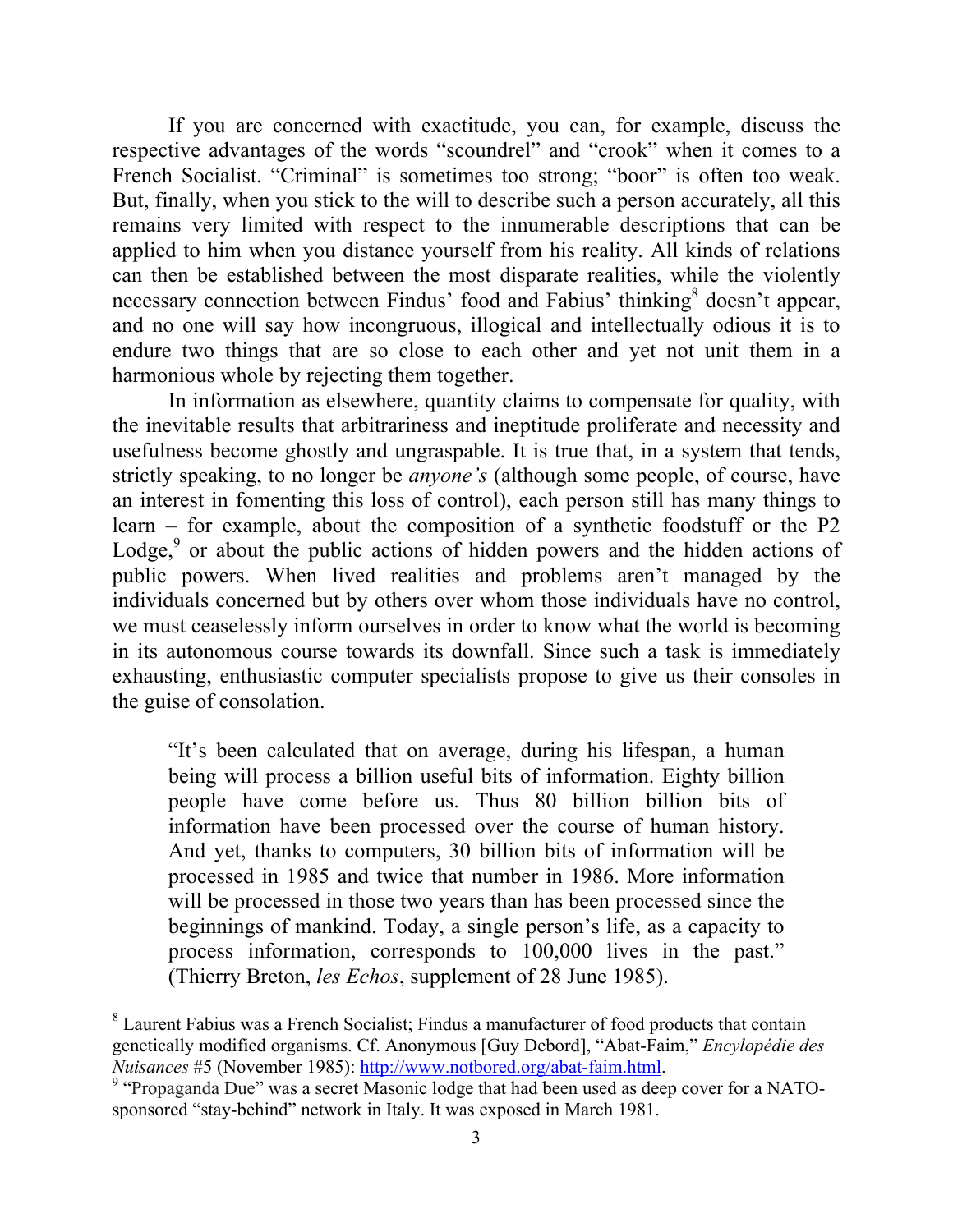If you are concerned with exactitude, you can, for example, discuss the respective advantages of the words "scoundrel" and "crook" when it comes to a French Socialist. "Criminal" is sometimes too strong; "boor" is often too weak. But, finally, when you stick to the will to describe such a person accurately, all this remains very limited with respect to the innumerable descriptions that can be applied to him when you distance yourself from his reality. All kinds of relations can then be established between the most disparate realities, while the violently necessary connection between Findus' food and Fabius' thinking<sup>8</sup> doesn't appear, and no one will say how incongruous, illogical and intellectually odious it is to endure two things that are so close to each other and yet not unit them in a harmonious whole by rejecting them together.

In information as elsewhere, quantity claims to compensate for quality, with the inevitable results that arbitrariness and ineptitude proliferate and necessity and usefulness become ghostly and ungraspable. It is true that, in a system that tends, strictly speaking, to no longer be *anyone's* (although some people, of course, have an interest in fomenting this loss of control), each person still has many things to learn – for example, about the composition of a synthetic foodstuff or the P2 Lodge, $9$  or about the public actions of hidden powers and the hidden actions of public powers. When lived realities and problems aren't managed by the individuals concerned but by others over whom those individuals have no control, we must ceaselessly inform ourselves in order to know what the world is becoming in its autonomous course towards its downfall. Since such a task is immediately exhausting, enthusiastic computer specialists propose to give us their consoles in the guise of consolation.

"It's been calculated that on average, during his lifespan, a human being will process a billion useful bits of information. Eighty billion people have come before us. Thus 80 billion billion bits of information have been processed over the course of human history. And yet, thanks to computers, 30 billion bits of information will be processed in 1985 and twice that number in 1986. More information will be processed in those two years than has been processed since the beginnings of mankind. Today, a single person's life, as a capacity to process information, corresponds to 100,000 lives in the past." (Thierry Breton, *les Echos*, supplement of 28 June 1985).

<sup>&</sup>lt;sup>8</sup> Laurent Fabius was a French Socialist; Findus a manufacturer of food products that contain genetically modified organisms. Cf. Anonymous [Guy Debord], "Abat-Faim," *Encylopédie des Nuisances* #5 (November 1985): http://www.notbored.org/abat-faim.html.<br><sup>9</sup> "Propaganda Due" was a secret Masonic lodge that had been used as deep cover for a NATO-

sponsored "stay-behind" network in Italy. It was exposed in March 1981.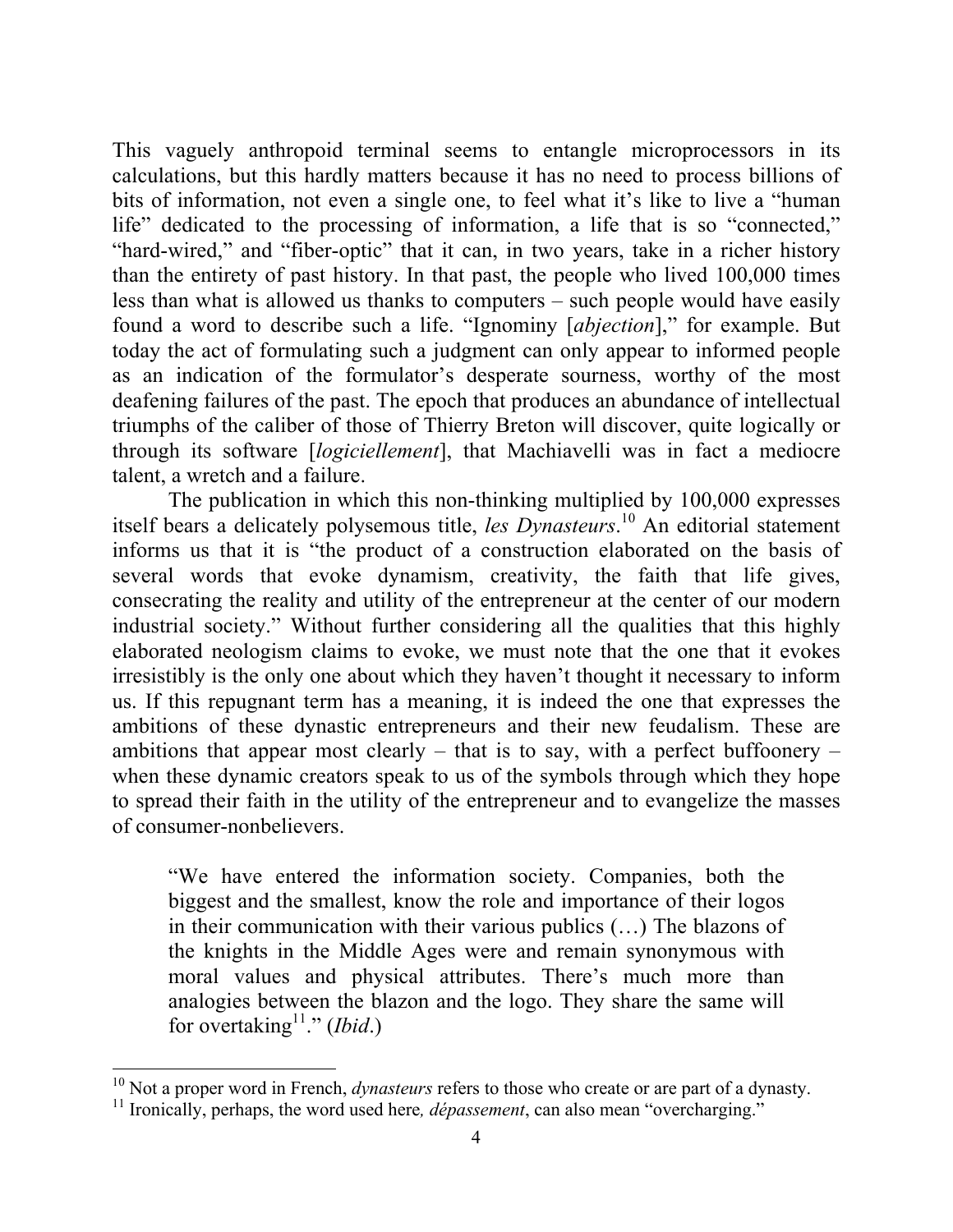This vaguely anthropoid terminal seems to entangle microprocessors in its calculations, but this hardly matters because it has no need to process billions of bits of information, not even a single one, to feel what it's like to live a "human life" dedicated to the processing of information, a life that is so "connected," "hard-wired," and "fiber-optic" that it can, in two years, take in a richer history than the entirety of past history. In that past, the people who lived 100,000 times less than what is allowed us thanks to computers – such people would have easily found a word to describe such a life. "Ignominy [*abjection*]," for example. But today the act of formulating such a judgment can only appear to informed people as an indication of the formulator's desperate sourness, worthy of the most deafening failures of the past. The epoch that produces an abundance of intellectual triumphs of the caliber of those of Thierry Breton will discover, quite logically or through its software [*logiciellement*], that Machiavelli was in fact a mediocre talent, a wretch and a failure.

The publication in which this non-thinking multiplied by 100,000 expresses itself bears a delicately polysemous title, *les Dynasteurs*. 10 An editorial statement informs us that it is "the product of a construction elaborated on the basis of several words that evoke dynamism, creativity, the faith that life gives, consecrating the reality and utility of the entrepreneur at the center of our modern industrial society." Without further considering all the qualities that this highly elaborated neologism claims to evoke, we must note that the one that it evokes irresistibly is the only one about which they haven't thought it necessary to inform us. If this repugnant term has a meaning, it is indeed the one that expresses the ambitions of these dynastic entrepreneurs and their new feudalism. These are ambitions that appear most clearly – that is to say, with a perfect buffoonery – when these dynamic creators speak to us of the symbols through which they hope to spread their faith in the utility of the entrepreneur and to evangelize the masses of consumer-nonbelievers.

"We have entered the information society. Companies, both the biggest and the smallest, know the role and importance of their logos in their communication with their various publics (…) The blazons of the knights in the Middle Ages were and remain synonymous with moral values and physical attributes. There's much more than analogies between the blazon and the logo. They share the same will for overtaking<sup>11</sup>." *(Ibid.)* 

<sup>&</sup>lt;sup>10</sup> Not a proper word in French, *dynasteurs* refers to those who create or are part of a dynasty.

<sup>&</sup>lt;sup>11</sup> Ironically, perhaps, the word used here, *dépassement*, can also mean "overcharging."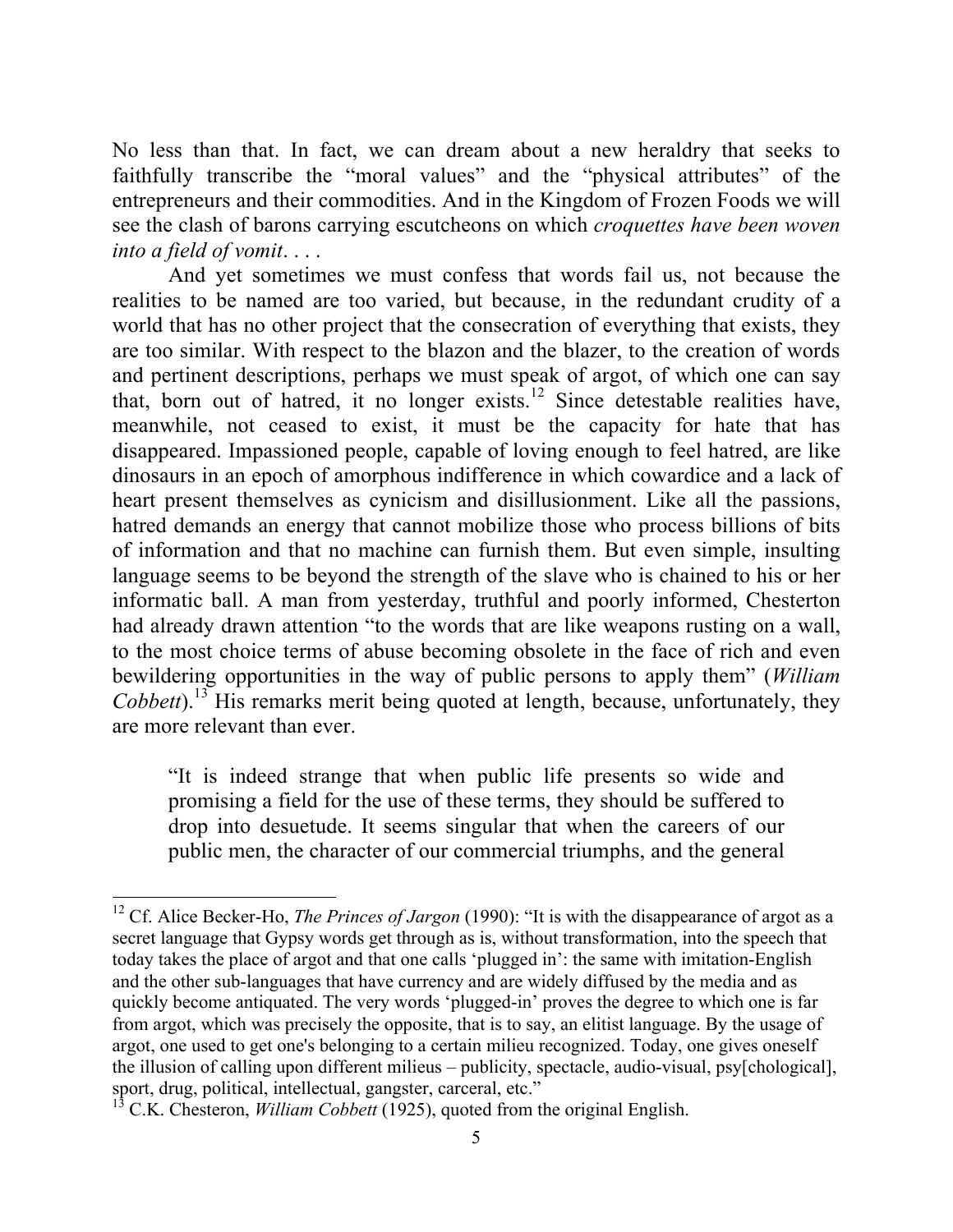No less than that. In fact, we can dream about a new heraldry that seeks to faithfully transcribe the "moral values" and the "physical attributes" of the entrepreneurs and their commodities. And in the Kingdom of Frozen Foods we will see the clash of barons carrying escutcheons on which *croquettes have been woven into a field of vomit*. . . .

And yet sometimes we must confess that words fail us, not because the realities to be named are too varied, but because, in the redundant crudity of a world that has no other project that the consecration of everything that exists, they are too similar. With respect to the blazon and the blazer, to the creation of words and pertinent descriptions, perhaps we must speak of argot, of which one can say that, born out of hatred, it no longer exists.<sup>12</sup> Since detestable realities have, meanwhile, not ceased to exist, it must be the capacity for hate that has disappeared. Impassioned people, capable of loving enough to feel hatred, are like dinosaurs in an epoch of amorphous indifference in which cowardice and a lack of heart present themselves as cynicism and disillusionment. Like all the passions, hatred demands an energy that cannot mobilize those who process billions of bits of information and that no machine can furnish them. But even simple, insulting language seems to be beyond the strength of the slave who is chained to his or her informatic ball. A man from yesterday, truthful and poorly informed, Chesterton had already drawn attention "to the words that are like weapons rusting on a wall, to the most choice terms of abuse becoming obsolete in the face of rich and even bewildering opportunities in the way of public persons to apply them" (*William Cobbett*).<sup>13</sup> His remarks merit being quoted at length, because, unfortunately, they are more relevant than ever.

"It is indeed strange that when public life presents so wide and promising a field for the use of these terms, they should be suffered to drop into desuetude. It seems singular that when the careers of our public men, the character of our commercial triumphs, and the general

<sup>&</sup>lt;sup>12</sup> Cf. Alice Becker-Ho, *The Princes of Jargon* (1990): "It is with the disappearance of argot as a secret language that Gypsy words get through as is, without transformation, into the speech that today takes the place of argot and that one calls 'plugged in': the same with imitation-English and the other sub-languages that have currency and are widely diffused by the media and as quickly become antiquated. The very words 'plugged-in' proves the degree to which one is far from argot, which was precisely the opposite, that is to say, an elitist language. By the usage of argot, one used to get one's belonging to a certain milieu recognized. Today, one gives oneself the illusion of calling upon different milieus – publicity, spectacle, audio-visual, psy[chological], sport, drug, political, intellectual, gangster, carceral, etc."

<sup>13</sup> C.K. Chesteron, *William Cobbett* (1925), quoted from the original English.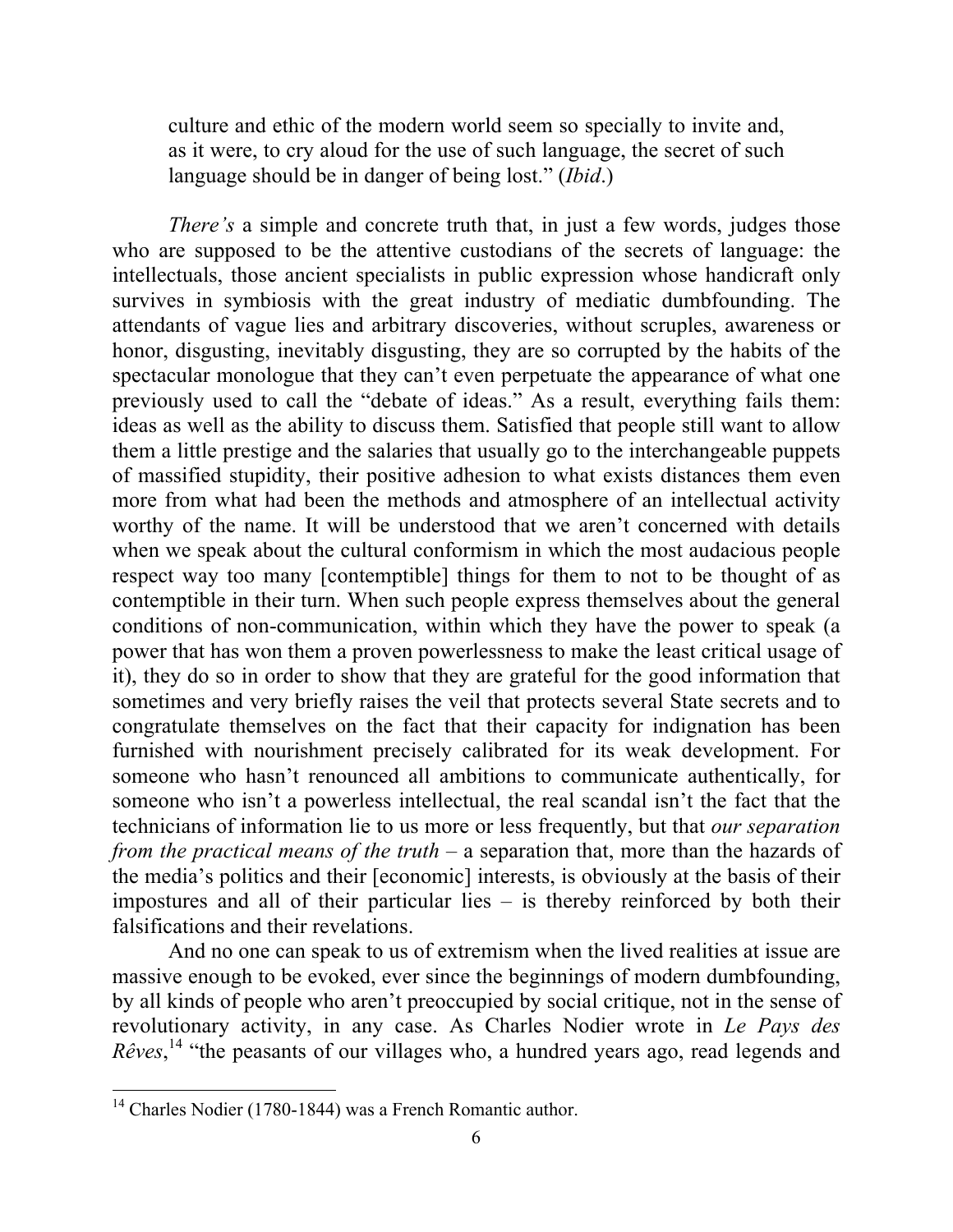culture and ethic of the modern world seem so specially to invite and, as it were, to cry aloud for the use of such language, the secret of such language should be in danger of being lost." (*Ibid*.)

*There's* a simple and concrete truth that, in just a few words, judges those who are supposed to be the attentive custodians of the secrets of language: the intellectuals, those ancient specialists in public expression whose handicraft only survives in symbiosis with the great industry of mediatic dumbfounding. The attendants of vague lies and arbitrary discoveries, without scruples, awareness or honor, disgusting, inevitably disgusting, they are so corrupted by the habits of the spectacular monologue that they can't even perpetuate the appearance of what one previously used to call the "debate of ideas." As a result, everything fails them: ideas as well as the ability to discuss them. Satisfied that people still want to allow them a little prestige and the salaries that usually go to the interchangeable puppets of massified stupidity, their positive adhesion to what exists distances them even more from what had been the methods and atmosphere of an intellectual activity worthy of the name. It will be understood that we aren't concerned with details when we speak about the cultural conformism in which the most audacious people respect way too many [contemptible] things for them to not to be thought of as contemptible in their turn. When such people express themselves about the general conditions of non-communication, within which they have the power to speak (a power that has won them a proven powerlessness to make the least critical usage of it), they do so in order to show that they are grateful for the good information that sometimes and very briefly raises the veil that protects several State secrets and to congratulate themselves on the fact that their capacity for indignation has been furnished with nourishment precisely calibrated for its weak development. For someone who hasn't renounced all ambitions to communicate authentically, for someone who isn't a powerless intellectual, the real scandal isn't the fact that the technicians of information lie to us more or less frequently, but that *our separation from the practical means of the truth* – a separation that, more than the hazards of the media's politics and their [economic] interests, is obviously at the basis of their impostures and all of their particular lies – is thereby reinforced by both their falsifications and their revelations.

And no one can speak to us of extremism when the lived realities at issue are massive enough to be evoked, ever since the beginnings of modern dumbfounding, by all kinds of people who aren't preoccupied by social critique, not in the sense of revolutionary activity, in any case. As Charles Nodier wrote in *Le Pays des Rêves*,<sup>14</sup> "the peasants of our villages who, a hundred years ago, read legends and

<sup>&</sup>lt;sup>14</sup> Charles Nodier (1780-1844) was a French Romantic author.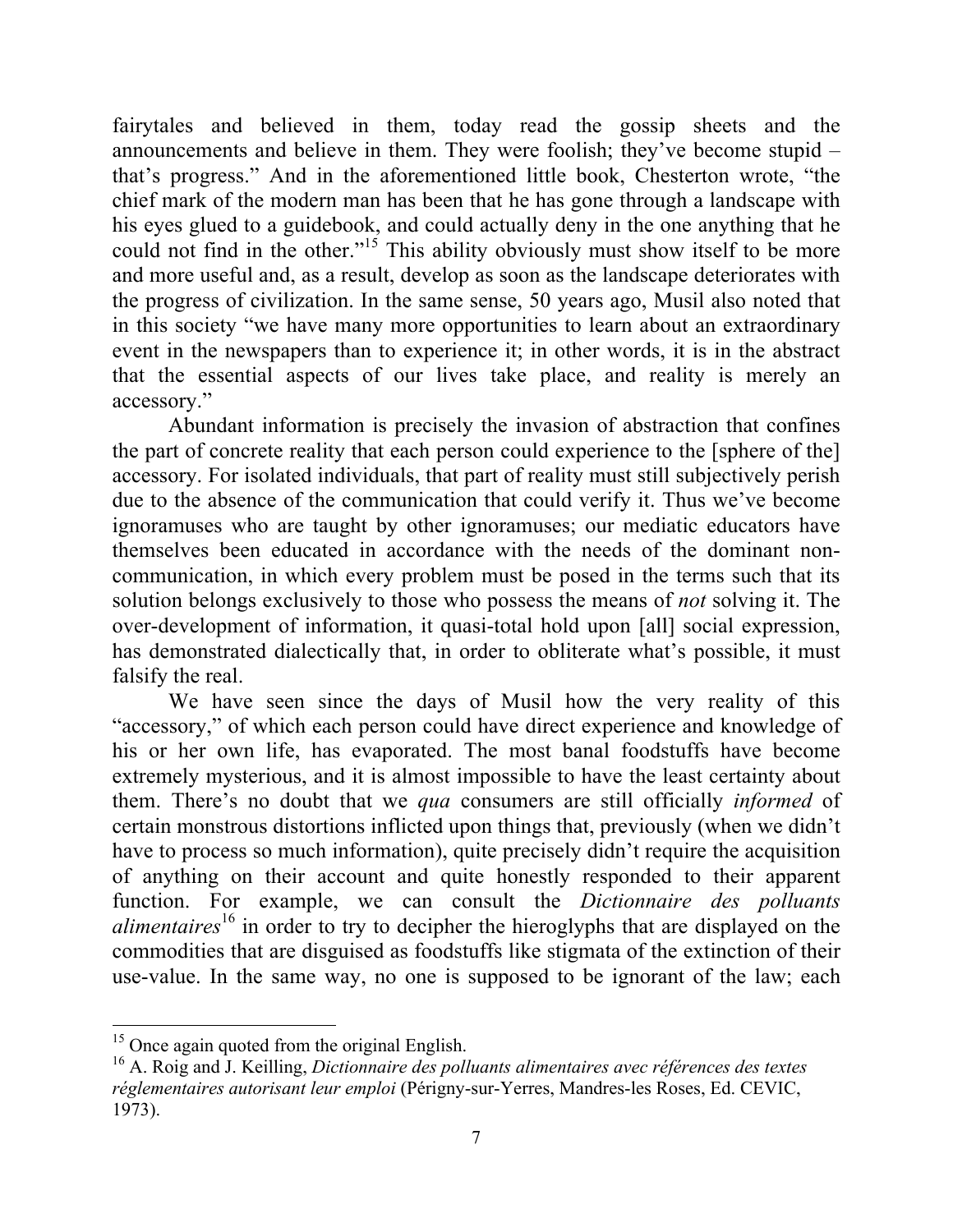fairytales and believed in them, today read the gossip sheets and the announcements and believe in them. They were foolish; they've become stupid – that's progress." And in the aforementioned little book, Chesterton wrote, "the chief mark of the modern man has been that he has gone through a landscape with his eyes glued to a guidebook, and could actually deny in the one anything that he could not find in the other."<sup>15</sup> This ability obviously must show itself to be more and more useful and, as a result, develop as soon as the landscape deteriorates with the progress of civilization. In the same sense, 50 years ago, Musil also noted that in this society "we have many more opportunities to learn about an extraordinary event in the newspapers than to experience it; in other words, it is in the abstract that the essential aspects of our lives take place, and reality is merely an accessory."

Abundant information is precisely the invasion of abstraction that confines the part of concrete reality that each person could experience to the [sphere of the] accessory. For isolated individuals, that part of reality must still subjectively perish due to the absence of the communication that could verify it. Thus we've become ignoramuses who are taught by other ignoramuses; our mediatic educators have themselves been educated in accordance with the needs of the dominant noncommunication, in which every problem must be posed in the terms such that its solution belongs exclusively to those who possess the means of *not* solving it. The over-development of information, it quasi-total hold upon [all] social expression, has demonstrated dialectically that, in order to obliterate what's possible, it must falsify the real.

We have seen since the days of Musil how the very reality of this "accessory," of which each person could have direct experience and knowledge of his or her own life, has evaporated. The most banal foodstuffs have become extremely mysterious, and it is almost impossible to have the least certainty about them. There's no doubt that we *qua* consumers are still officially *informed* of certain monstrous distortions inflicted upon things that, previously (when we didn't have to process so much information), quite precisely didn't require the acquisition of anything on their account and quite honestly responded to their apparent function. For example, we can consult the *Dictionnaire des polluants alimentaires*<sup>16</sup> in order to try to decipher the hieroglyphs that are displayed on the commodities that are disguised as foodstuffs like stigmata of the extinction of their use-value. In the same way, no one is supposed to be ignorant of the law; each

<sup>&</sup>lt;sup>15</sup> Once again quoted from the original English.

<sup>16</sup> A. Roig and J. Keilling, *Dictionnaire des polluants alimentaires avec références des textes réglementaires autorisant leur emploi* (Périgny-sur-Yerres, Mandres-les Roses, Ed. CEVIC, 1973).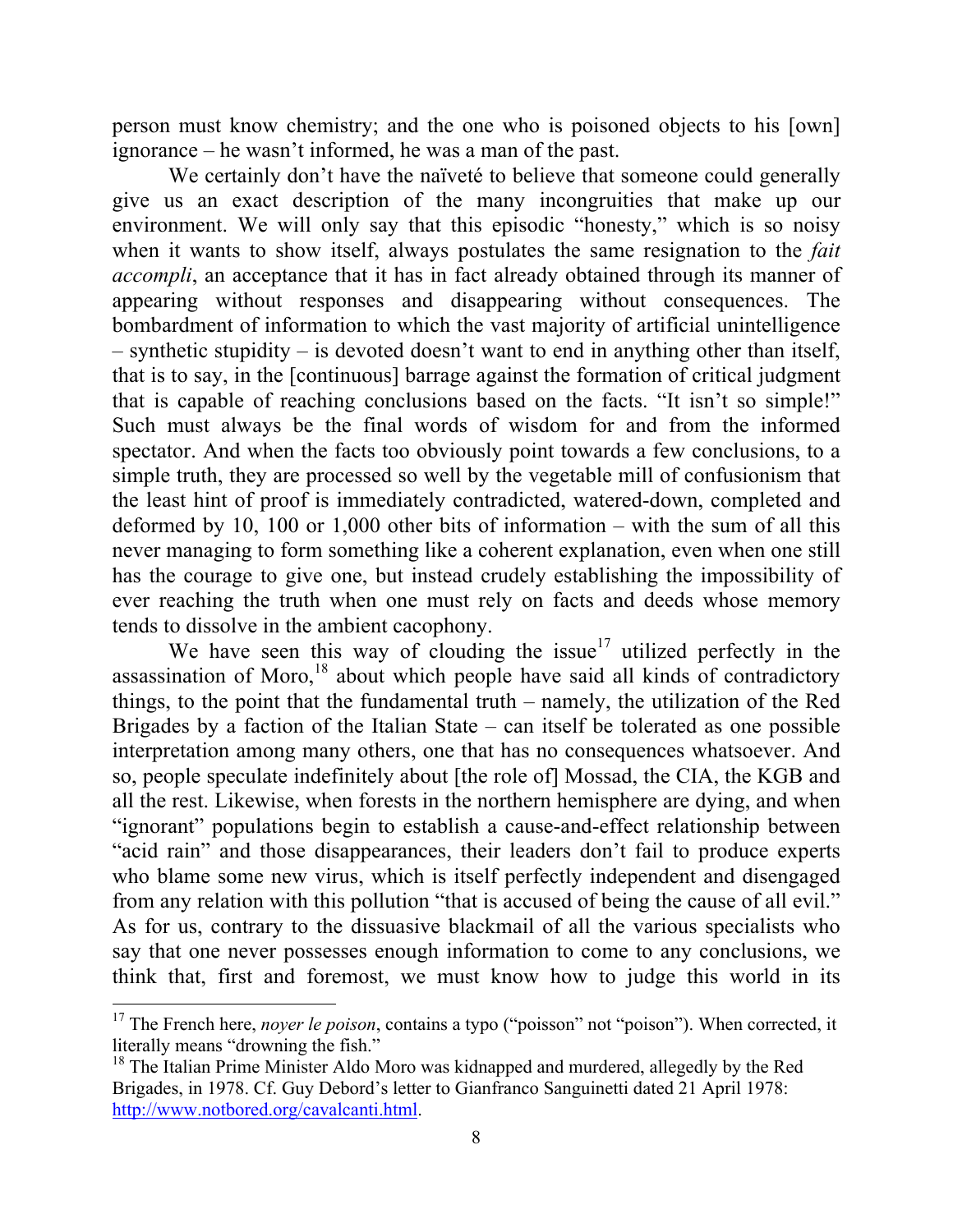person must know chemistry; and the one who is poisoned objects to his [own] ignorance – he wasn't informed, he was a man of the past.

We certainly don't have the naïveté to believe that someone could generally give us an exact description of the many incongruities that make up our environment. We will only say that this episodic "honesty," which is so noisy when it wants to show itself, always postulates the same resignation to the *fait accompli*, an acceptance that it has in fact already obtained through its manner of appearing without responses and disappearing without consequences. The bombardment of information to which the vast majority of artificial unintelligence – synthetic stupidity – is devoted doesn't want to end in anything other than itself, that is to say, in the [continuous] barrage against the formation of critical judgment that is capable of reaching conclusions based on the facts. "It isn't so simple!" Such must always be the final words of wisdom for and from the informed spectator. And when the facts too obviously point towards a few conclusions, to a simple truth, they are processed so well by the vegetable mill of confusionism that the least hint of proof is immediately contradicted, watered-down, completed and deformed by 10, 100 or 1,000 other bits of information – with the sum of all this never managing to form something like a coherent explanation, even when one still has the courage to give one, but instead crudely establishing the impossibility of ever reaching the truth when one must rely on facts and deeds whose memory tends to dissolve in the ambient cacophony.

We have seen this way of clouding the issue<sup>17</sup> utilized perfectly in the assassination of Moro, $^{18}$  about which people have said all kinds of contradictory things, to the point that the fundamental truth – namely, the utilization of the Red Brigades by a faction of the Italian State – can itself be tolerated as one possible interpretation among many others, one that has no consequences whatsoever. And so, people speculate indefinitely about [the role of] Mossad, the CIA, the KGB and all the rest. Likewise, when forests in the northern hemisphere are dying, and when "ignorant" populations begin to establish a cause-and-effect relationship between "acid rain" and those disappearances, their leaders don't fail to produce experts who blame some new virus, which is itself perfectly independent and disengaged from any relation with this pollution "that is accused of being the cause of all evil." As for us, contrary to the dissuasive blackmail of all the various specialists who say that one never possesses enough information to come to any conclusions, we think that, first and foremost, we must know how to judge this world in its

<sup>&</sup>lt;sup>17</sup> The French here, *noyer le poison*, contains a typo ("poisson" not "poison"). When corrected, it literally means "drowning the fish."

<sup>&</sup>lt;sup>18</sup> The Italian Prime Minister Aldo Moro was kidnapped and murdered, allegedly by the Red Brigades, in 1978. Cf. Guy Debord's letter to Gianfranco Sanguinetti dated 21 April 1978: http://www.notbored.org/cavalcanti.html.